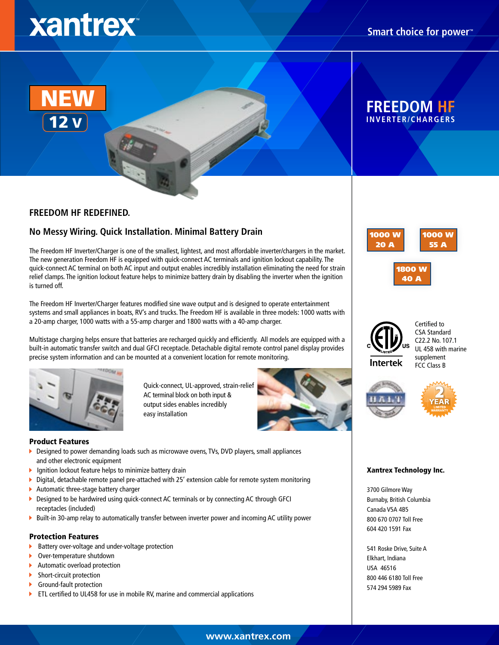# xantrex



## **FREEDOM HF**

#### **FREEDOM HF REDEFINED.**

### **No Messy Wiring. Quick Installation. Minimal Battery Drain**

The Freedom HF Inverter/Charger is one of the smallest, lightest, and most affordable inverter/chargers in the market. The new generation Freedom HF is equipped with quick-connect AC terminals and ignition lockout capability. The quick-connect AC terminal on both AC input and output enables incredibly installation eliminating the need for strain relief clamps. The ignition lockout feature helps to minimize battery drain by disabling the inverter when the ignition is turned off.

The Freedom HF Inverter/Charger features modified sine wave output and is designed to operate entertainment systems and small appliances in boats, RV's and trucks. The Freedom HF is available in three models: 1000 watts with a 20-amp charger, 1000 watts with a 55-amp charger and 1800 watts with a 40-amp charger.

Multistage charging helps ensure that batteries are recharged quickly and efficiently. All models are equipped with a built-in automatic transfer switch and dual GFCI receptacle. Detachable digital remote control panel display provides precise system information and can be mounted at a convenient location for remote monitoring.

> Quick-connect, UL-approved, strain-relief AC terminal block on both input & output sides enables incredibly



#### Product Features

▶ Designed to power demanding loads such as microwave ovens, TVs, DVD players, small appliances and other electronic equipment

easy installation

- **I** Ignition lockout feature helps to minimize battery drain
- Digital, detachable remote panel pre-attached with 25' extension cable for remote system monitoring Þ.
- Automatic three-stage battery charger
- Designed to be hardwired using quick-connect AC terminals or by connecting AC through GFCI × receptacles (included)
- Built-in 30-amp relay to automatically transfer between inverter power and incoming AC utility power

#### Protection Features

- к Battery over-voltage and under-voltage protection
- Over-temperature shutdown
- Automatic overload protection K
- Short-circuit protection Þ
- Ground-fault protection
- ETL certified to UL458 for use in mobile RV, marine and commercial applications ×







FCC Class B Certified to CSA Standard C22.2 No. 107.1 UL 458 with marine supplement



#### Xantrex Technology Inc.

3700 Gilmore Way Burnaby, British Columbia Canada V5A 4B5 800 670 0707 Toll Free 604 420 1591 Fax

541 Roske Drive, Suite A Elkhart, Indiana USA 46516 800 446 6180 Toll Free 574 294 5989 Fax

**www.xantrex.com**